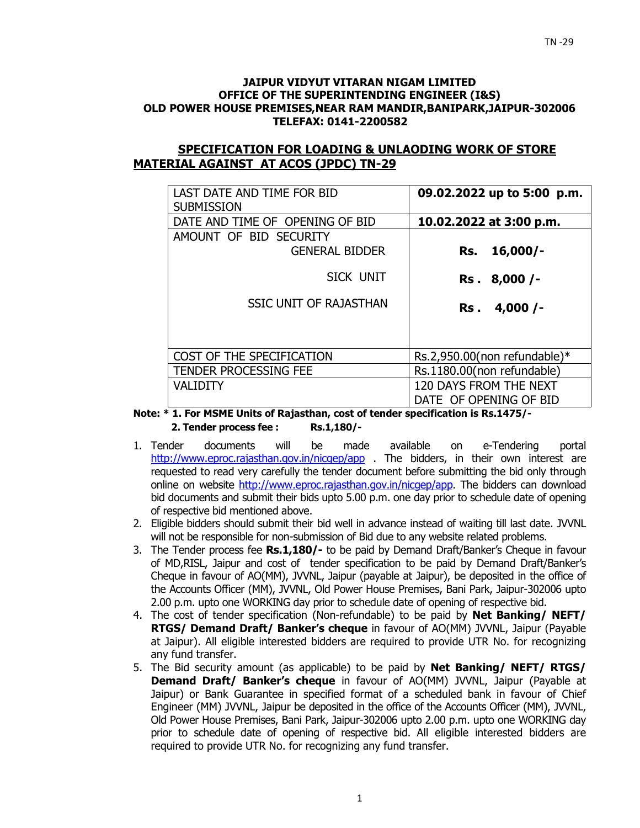#### **JAIPUR VIDYUT VITARAN NIGAM LIMITED OFFICE OF THE SUPERINTENDING ENGINEER (I&S) OLD POWER HOUSE PREMISES,NEAR RAM MANDIR,BANIPARK,JAIPUR-302006 TELEFAX: 0141-2200582**

## **SPECIFICATION FOR LOADING & UNLAODING WORK OF STORE MATERIAL AGAINST AT ACOS (JPDC) TN-29**

| LAST DATE AND TIME FOR BID<br><b>SUBMISSION</b> | 09.02.2022 up to 5:00 p.m.                       |
|-------------------------------------------------|--------------------------------------------------|
| DATE AND TIME OF OPENING OF BID                 | 10.02.2022 at 3:00 p.m.                          |
| AMOUNT OF BID SECURITY<br><b>GENERAL BIDDER</b> | $16,000/-$<br>Rs.                                |
| SICK UNIT                                       | Rs. 8,000 /-                                     |
| <b>SSIC UNIT OF RAJASTHAN</b>                   | 4,000/<br>Rs.                                    |
| COST OF THE SPECIFICATION                       | Rs.2,950.00(non refundable)*                     |
| <b>TENDER PROCESSING FEE</b>                    | Rs.1180.00(non refundable)                       |
| <b>VALIDITY</b>                                 | 120 DAYS FROM THE NEXT<br>DATE OF OPENING OF BID |

**Note: \* 1. For MSME Units of Rajasthan, cost of tender specification is Rs.1475/- 2. Tender process fee : Rs.1,180/-** 

- 1. Tender documents will be made available on e-Tendering portal http://www.eproc.rajasthan.gov.in/nicgep/app . The bidders, in their own interest are requested to read very carefully the tender document before submitting the bid only through online on website http://www.eproc.rajasthan.gov.in/nicgep/app. The bidders can download bid documents and submit their bids upto 5.00 p.m. one day prior to schedule date of opening of respective bid mentioned above.
- 2. Eligible bidders should submit their bid well in advance instead of waiting till last date. JVVNL will not be responsible for non-submission of Bid due to any website related problems.
- 3. The Tender process fee **Rs.1,180/-** to be paid by Demand Draft/Banker's Cheque in favour of MD,RISL, Jaipur and cost of tender specification to be paid by Demand Draft/Banker's Cheque in favour of AO(MM), JVVNL, Jaipur (payable at Jaipur), be deposited in the office of the Accounts Officer (MM), JVVNL, Old Power House Premises, Bani Park, Jaipur-302006 upto 2.00 p.m. upto one WORKING day prior to schedule date of opening of respective bid.
- 4. The cost of tender specification (Non-refundable) to be paid by **Net Banking/ NEFT/ RTGS/ Demand Draft/ Banker's cheque** in favour of AO(MM) JVVNL, Jaipur (Payable at Jaipur). All eligible interested bidders are required to provide UTR No. for recognizing any fund transfer.
- 5. The Bid security amount (as applicable) to be paid by **Net Banking/ NEFT/ RTGS/ Demand Draft/ Banker's cheque** in favour of AO(MM) JVVNL, Jaipur (Payable at Jaipur) or Bank Guarantee in specified format of a scheduled bank in favour of Chief Engineer (MM) JVVNL, Jaipur be deposited in the office of the Accounts Officer (MM), JVVNL, Old Power House Premises, Bani Park, Jaipur-302006 upto 2.00 p.m. upto one WORKING day prior to schedule date of opening of respective bid. All eligible interested bidders are required to provide UTR No. for recognizing any fund transfer.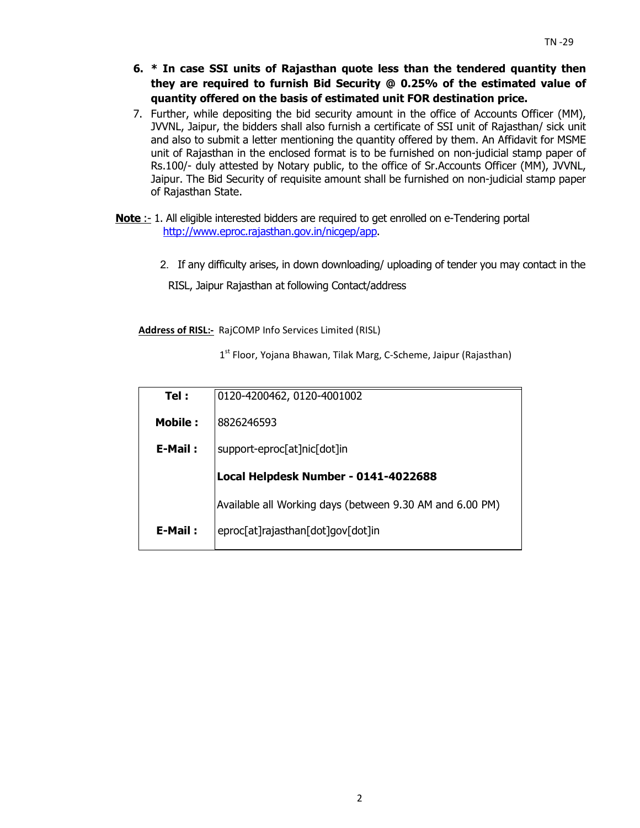- **6. \* In case SSI units of Rajasthan quote less than the tendered quantity then they are required to furnish Bid Security @ 0.25% of the estimated value of quantity offered on the basis of estimated unit FOR destination price.**
- 7. Further, while depositing the bid security amount in the office of Accounts Officer (MM), JVVNL, Jaipur, the bidders shall also furnish a certificate of SSI unit of Rajasthan/ sick unit and also to submit a letter mentioning the quantity offered by them. An Affidavit for MSME unit of Rajasthan in the enclosed format is to be furnished on non-judicial stamp paper of Rs.100/- duly attested by Notary public, to the office of Sr.Accounts Officer (MM), JVVNL, Jaipur. The Bid Security of requisite amount shall be furnished on non-judicial stamp paper of Rajasthan State.
- **Note** :- 1. All eligible interested bidders are required to get enrolled on e-Tendering portal http://www.eproc.rajasthan.gov.in/nicgep/app.
	- 2.If any difficulty arises, in down downloading/ uploading of tender you may contact in the

RISL, Jaipur Rajasthan at following Contact/address

**Address of RISL:-** RajCOMP Info Services Limited (RISL)

1<sup>st</sup> Floor, Yojana Bhawan, Tilak Marg, C-Scheme, Jaipur (Rajasthan)

| 0120-4200462, 0120-4001002                               |
|----------------------------------------------------------|
| 8826246593                                               |
| support-eproc[at]nic[dot]in                              |
| Local Helpdesk Number - 0141-4022688                     |
| Available all Working days (between 9.30 AM and 6.00 PM) |
| eproc[at]rajasthan[dot]gov[dot]in                        |
|                                                          |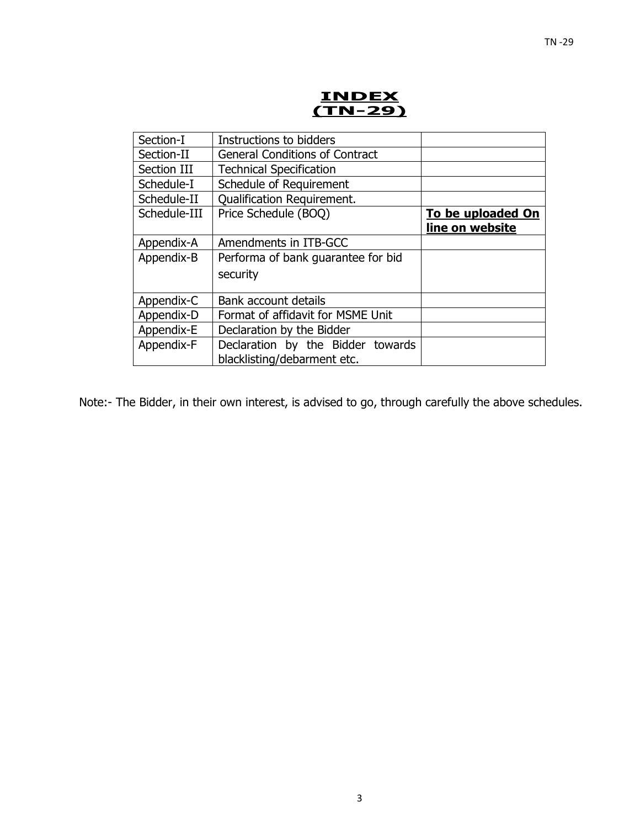

| Instructions to bidders               |                   |
|---------------------------------------|-------------------|
| <b>General Conditions of Contract</b> |                   |
| <b>Technical Specification</b>        |                   |
| Schedule of Requirement               |                   |
| <b>Qualification Requirement.</b>     |                   |
| Price Schedule (BOQ)                  | To be uploaded On |
|                                       | line on website   |
| Amendments in ITB-GCC                 |                   |
| Performa of bank guarantee for bid    |                   |
| security                              |                   |
|                                       |                   |
| Bank account details                  |                   |
| Format of affidavit for MSME Unit     |                   |
| Declaration by the Bidder             |                   |
| Declaration by the Bidder towards     |                   |
| blacklisting/debarment etc.           |                   |
|                                       |                   |

Note:- The Bidder, in their own interest, is advised to go, through carefully the above schedules.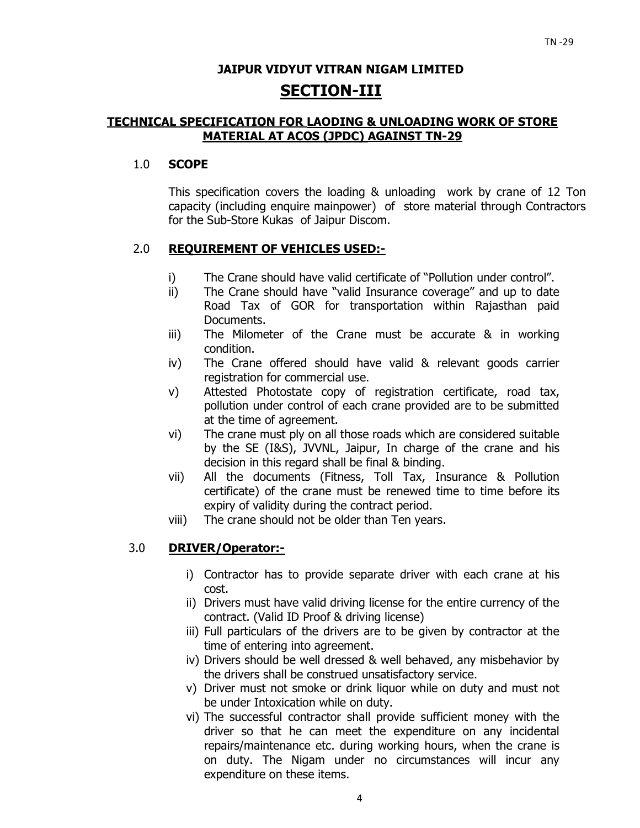## **JAIPUR VIDYUT VITRAN NIGAM LIMITED SECTION-III**

## **TECHNICAL SPECIFICATION FOR LAODING & UNLOADING WORK OF STORE MATERIAL AT ACOS (JPDC) AGAINST TN-29**

### 1.0 **SCOPE**

This specification covers the loading & unloading work by crane of 12 Ton capacity (including enquire mainpower) of store material through Contractors for the Sub-Store Kukas of Jaipur Discom.

## 2.0 **REQUIREMENT OF VEHICLES USED:-**

- i) The Crane should have valid certificate of "Pollution under control".
- ii) The Crane should have "valid Insurance coverage" and up to date Road Tax of GOR for transportation within Rajasthan paid Documents.
- iii) The Milometer of the Crane must be accurate & in working condition.
- iv) The Crane offered should have valid & relevant goods carrier registration for commercial use.
- v) Attested Photostate copy of registration certificate, road tax, pollution under control of each crane provided are to be submitted at the time of agreement.
- vi) The crane must ply on all those roads which are considered suitable by the SE (I&S), JVVNL, Jaipur, In charge of the crane and his decision in this regard shall be final & binding.
- vii) All the documents (Fitness, Toll Tax, Insurance & Pollution certificate) of the crane must be renewed time to time before its expiry of validity during the contract period.
- viii) The crane should not be older than Ten years.

## 3.0 **DRIVER/Operator:-**

- i) Contractor has to provide separate driver with each crane at his cost.
- ii) Drivers must have valid driving license for the entire currency of the contract. (Valid ID Proof & driving license)
- iii) Full particulars of the drivers are to be given by contractor at the time of entering into agreement.
- iv) Drivers should be well dressed & well behaved, any misbehavior by the drivers shall be construed unsatisfactory service.
- v) Driver must not smoke or drink liquor while on duty and must not be under Intoxication while on duty.
- vi) The successful contractor shall provide sufficient money with the driver so that he can meet the expenditure on any incidental repairs/maintenance etc. during working hours, when the crane is on duty. The Nigam under no circumstances will incur any expenditure on these items.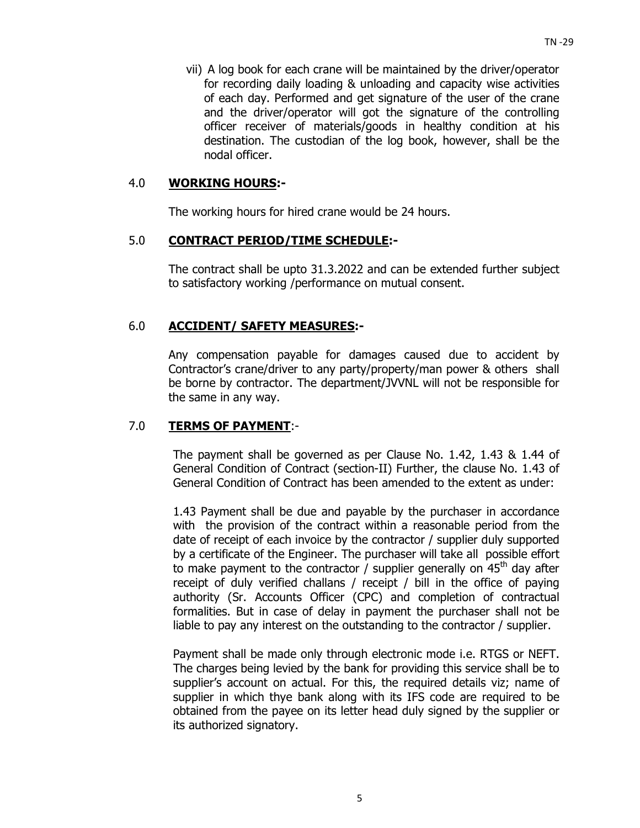vii) A log book for each crane will be maintained by the driver/operator for recording daily loading & unloading and capacity wise activities of each day. Performed and get signature of the user of the crane and the driver/operator will got the signature of the controlling officer receiver of materials/goods in healthy condition at his destination. The custodian of the log book, however, shall be the nodal officer.

### 4.0 **WORKING HOURS:-**

The working hours for hired crane would be 24 hours.

#### 5.0 **CONTRACT PERIOD/TIME SCHEDULE:-**

The contract shall be upto 31.3.2022 and can be extended further subject to satisfactory working /performance on mutual consent.

## 6.0 **ACCIDENT/ SAFETY MEASURES:-**

Any compensation payable for damages caused due to accident by Contractor's crane/driver to any party/property/man power & others shall be borne by contractor. The department/JVVNL will not be responsible for the same in any way.

## 7.0 **TERMS OF PAYMENT**:-

The payment shall be governed as per Clause No. 1.42, 1.43 & 1.44 of General Condition of Contract (section-II) Further, the clause No. 1.43 of General Condition of Contract has been amended to the extent as under:

1.43 Payment shall be due and payable by the purchaser in accordance with the provision of the contract within a reasonable period from the date of receipt of each invoice by the contractor / supplier duly supported by a certificate of the Engineer. The purchaser will take all possible effort to make payment to the contractor / supplier generally on  $45<sup>th</sup>$  day after receipt of duly verified challans / receipt / bill in the office of paying authority (Sr. Accounts Officer (CPC) and completion of contractual formalities. But in case of delay in payment the purchaser shall not be liable to pay any interest on the outstanding to the contractor / supplier.

Payment shall be made only through electronic mode i.e. RTGS or NEFT. The charges being levied by the bank for providing this service shall be to supplier's account on actual. For this, the required details viz; name of supplier in which thye bank along with its IFS code are required to be obtained from the payee on its letter head duly signed by the supplier or its authorized signatory.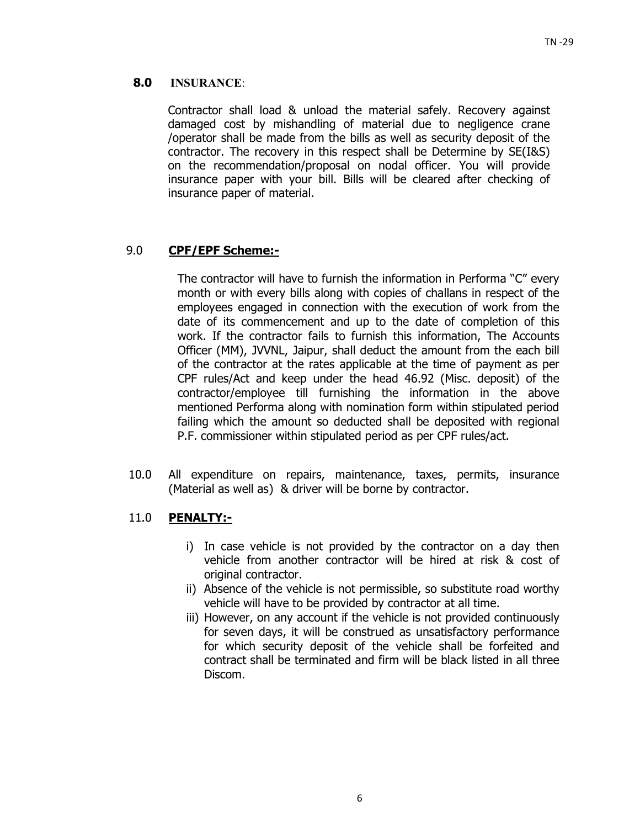## **8.0 INSURANCE**:

Contractor shall load & unload the material safely. Recovery against damaged cost by mishandling of material due to negligence crane /operator shall be made from the bills as well as security deposit of the contractor. The recovery in this respect shall be Determine by SE(I&S) on the recommendation/proposal on nodal officer. You will provide insurance paper with your bill. Bills will be cleared after checking of insurance paper of material.

## 9.0 **CPF/EPF Scheme:-**

The contractor will have to furnish the information in Performa "C" every month or with every bills along with copies of challans in respect of the employees engaged in connection with the execution of work from the date of its commencement and up to the date of completion of this work. If the contractor fails to furnish this information, The Accounts Officer (MM), JVVNL, Jaipur, shall deduct the amount from the each bill of the contractor at the rates applicable at the time of payment as per CPF rules/Act and keep under the head 46.92 (Misc. deposit) of the contractor/employee till furnishing the information in the above mentioned Performa along with nomination form within stipulated period failing which the amount so deducted shall be deposited with regional P.F. commissioner within stipulated period as per CPF rules/act.

10.0 All expenditure on repairs, maintenance, taxes, permits, insurance (Material as well as) & driver will be borne by contractor.

## 11.0 **PENALTY:-**

- i) In case vehicle is not provided by the contractor on a day then vehicle from another contractor will be hired at risk & cost of original contractor.
- ii) Absence of the vehicle is not permissible, so substitute road worthy vehicle will have to be provided by contractor at all time.
- iii) However, on any account if the vehicle is not provided continuously for seven days, it will be construed as unsatisfactory performance for which security deposit of the vehicle shall be forfeited and contract shall be terminated and firm will be black listed in all three Discom.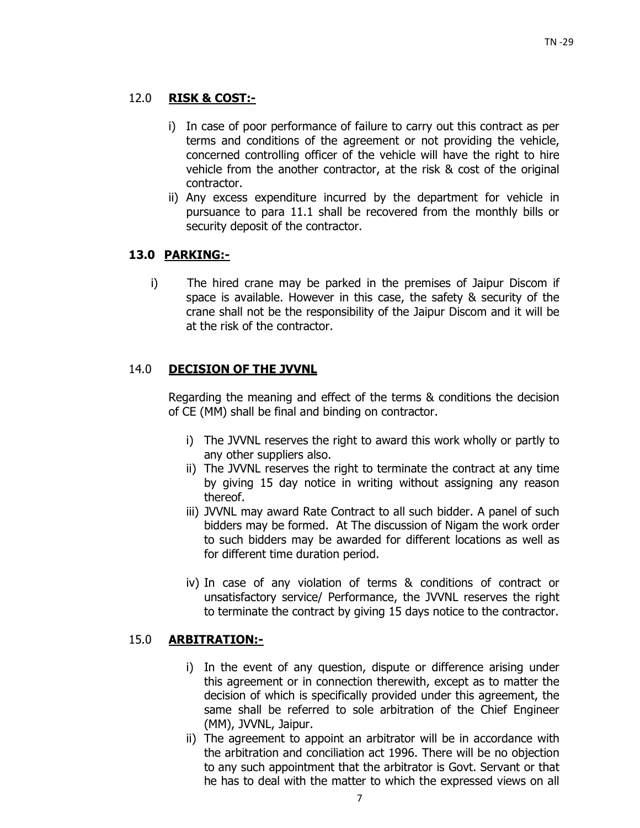## 12.0 **RISK & COST:-**

- i) In case of poor performance of failure to carry out this contract as per terms and conditions of the agreement or not providing the vehicle, concerned controlling officer of the vehicle will have the right to hire vehicle from the another contractor, at the risk & cost of the original contractor.
- ii) Any excess expenditure incurred by the department for vehicle in pursuance to para 11.1 shall be recovered from the monthly bills or security deposit of the contractor.

## **13.0 PARKING:-**

i) The hired crane may be parked in the premises of Jaipur Discom if space is available. However in this case, the safety & security of the crane shall not be the responsibility of the Jaipur Discom and it will be at the risk of the contractor.

## 14.0 **DECISION OF THE JVVNL**

Regarding the meaning and effect of the terms & conditions the decision of CE (MM) shall be final and binding on contractor.

- i) The JVVNL reserves the right to award this work wholly or partly to any other suppliers also.
- ii) The JVVNL reserves the right to terminate the contract at any time by giving 15 day notice in writing without assigning any reason thereof.
- iii) JVVNL may award Rate Contract to all such bidder. A panel of such bidders may be formed. At The discussion of Nigam the work order to such bidders may be awarded for different locations as well as for different time duration period.
- iv) In case of any violation of terms & conditions of contract or unsatisfactory service/ Performance, the JVVNL reserves the right to terminate the contract by giving 15 days notice to the contractor.

## 15.0 **ARBITRATION:-**

- i) In the event of any question, dispute or difference arising under this agreement or in connection therewith, except as to matter the decision of which is specifically provided under this agreement, the same shall be referred to sole arbitration of the Chief Engineer (MM), JVVNL, Jaipur.
- ii) The agreement to appoint an arbitrator will be in accordance with the arbitration and conciliation act 1996. There will be no objection to any such appointment that the arbitrator is Govt. Servant or that he has to deal with the matter to which the expressed views on all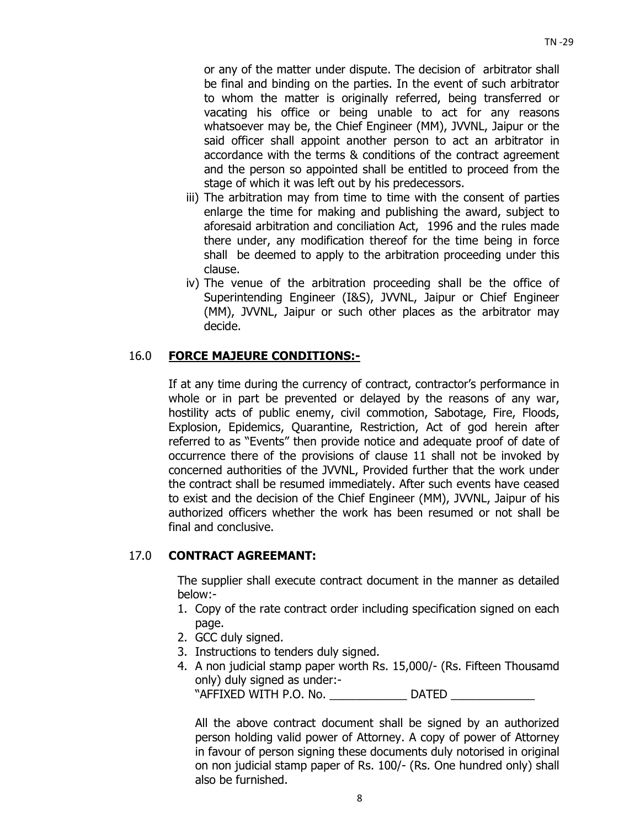or any of the matter under dispute. The decision of arbitrator shall be final and binding on the parties. In the event of such arbitrator to whom the matter is originally referred, being transferred or vacating his office or being unable to act for any reasons whatsoever may be, the Chief Engineer (MM), JVVNL, Jaipur or the said officer shall appoint another person to act an arbitrator in accordance with the terms & conditions of the contract agreement and the person so appointed shall be entitled to proceed from the stage of which it was left out by his predecessors.

- iii) The arbitration may from time to time with the consent of parties enlarge the time for making and publishing the award, subject to aforesaid arbitration and conciliation Act, 1996 and the rules made there under, any modification thereof for the time being in force shall be deemed to apply to the arbitration proceeding under this clause.
- iv) The venue of the arbitration proceeding shall be the office of Superintending Engineer (I&S), JVVNL, Jaipur or Chief Engineer (MM), JVVNL, Jaipur or such other places as the arbitrator may decide.

## 16.0 **FORCE MAJEURE CONDITIONS:-**

If at any time during the currency of contract, contractor's performance in whole or in part be prevented or delayed by the reasons of any war, hostility acts of public enemy, civil commotion, Sabotage, Fire, Floods, Explosion, Epidemics, Quarantine, Restriction, Act of god herein after referred to as "Events" then provide notice and adequate proof of date of occurrence there of the provisions of clause 11 shall not be invoked by concerned authorities of the JVVNL, Provided further that the work under the contract shall be resumed immediately. After such events have ceased to exist and the decision of the Chief Engineer (MM), JVVNL, Jaipur of his authorized officers whether the work has been resumed or not shall be final and conclusive.

#### 17.0 **CONTRACT AGREEMANT:**

The supplier shall execute contract document in the manner as detailed below:-

- 1. Copy of the rate contract order including specification signed on each page.
- 2. GCC duly signed.
- 3. Instructions to tenders duly signed.
- 4. A non judicial stamp paper worth Rs. 15,000/- (Rs. Fifteen Thousamd only) duly signed as under:-

"AFFIXED WITH P.O. No. \_\_\_\_\_\_\_\_\_\_\_\_ DATED \_\_\_\_\_\_\_\_\_\_\_\_\_

All the above contract document shall be signed by an authorized person holding valid power of Attorney. A copy of power of Attorney in favour of person signing these documents duly notorised in original on non judicial stamp paper of Rs. 100/- (Rs. One hundred only) shall also be furnished.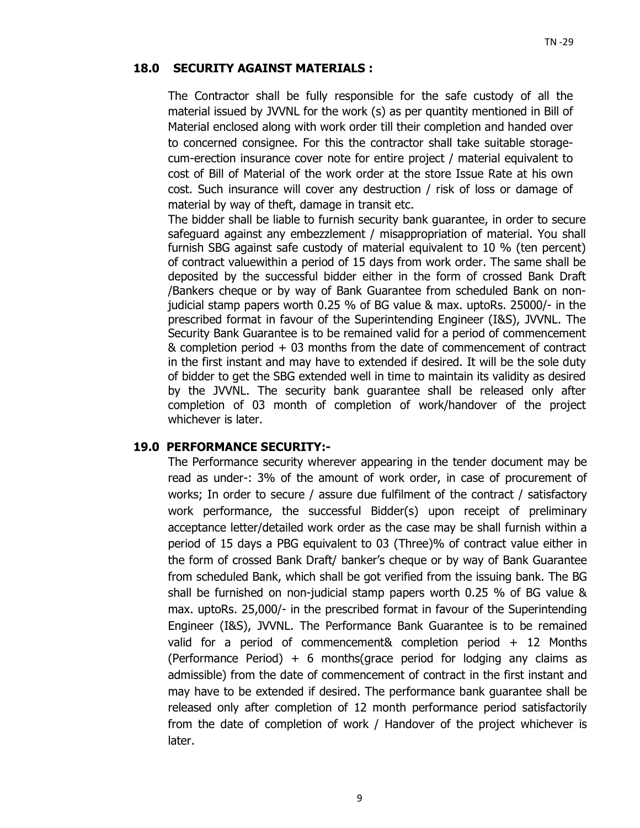### **18.0 SECURITY AGAINST MATERIALS :**

The Contractor shall be fully responsible for the safe custody of all the material issued by JVVNL for the work (s) as per quantity mentioned in Bill of Material enclosed along with work order till their completion and handed over to concerned consignee. For this the contractor shall take suitable storagecum-erection insurance cover note for entire project / material equivalent to cost of Bill of Material of the work order at the store Issue Rate at his own cost. Such insurance will cover any destruction / risk of loss or damage of material by way of theft, damage in transit etc.

The bidder shall be liable to furnish security bank guarantee, in order to secure safeguard against any embezzlement / misappropriation of material. You shall furnish SBG against safe custody of material equivalent to 10 % (ten percent) of contract valuewithin a period of 15 days from work order. The same shall be deposited by the successful bidder either in the form of crossed Bank Draft /Bankers cheque or by way of Bank Guarantee from scheduled Bank on nonjudicial stamp papers worth 0.25 % of BG value & max. uptoRs. 25000/- in the prescribed format in favour of the Superintending Engineer (I&S), JVVNL. The Security Bank Guarantee is to be remained valid for a period of commencement & completion period + 03 months from the date of commencement of contract in the first instant and may have to extended if desired. It will be the sole duty of bidder to get the SBG extended well in time to maintain its validity as desired by the JVVNL. The security bank guarantee shall be released only after completion of 03 month of completion of work/handover of the project whichever is later.

#### **19.0 PERFORMANCE SECURITY:-**

The Performance security wherever appearing in the tender document may be read as under-: 3% of the amount of work order, in case of procurement of works; In order to secure / assure due fulfilment of the contract / satisfactory work performance, the successful Bidder(s) upon receipt of preliminary acceptance letter/detailed work order as the case may be shall furnish within a period of 15 days a PBG equivalent to 03 (Three)% of contract value either in the form of crossed Bank Draft/ banker's cheque or by way of Bank Guarantee from scheduled Bank, which shall be got verified from the issuing bank. The BG shall be furnished on non-judicial stamp papers worth 0.25 % of BG value & max. uptoRs. 25,000/- in the prescribed format in favour of the Superintending Engineer (I&S), JVVNL. The Performance Bank Guarantee is to be remained valid for a period of commencement& completion period + 12 Months (Performance Period) + 6 months(grace period for lodging any claims as admissible) from the date of commencement of contract in the first instant and may have to be extended if desired. The performance bank guarantee shall be released only after completion of 12 month performance period satisfactorily from the date of completion of work / Handover of the project whichever is later.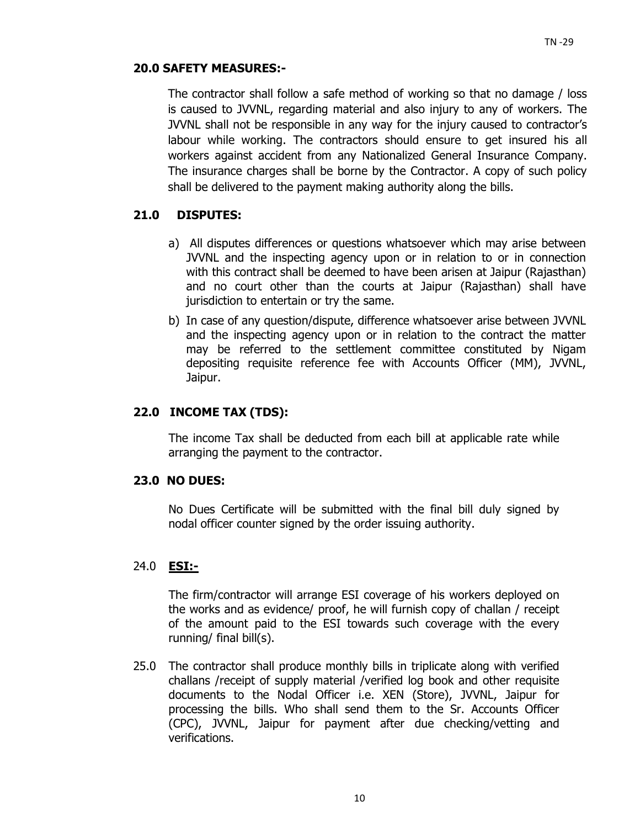## **20.0 SAFETY MEASURES:-**

The contractor shall follow a safe method of working so that no damage / loss is caused to JVVNL, regarding material and also injury to any of workers. The JVVNL shall not be responsible in any way for the injury caused to contractor's labour while working. The contractors should ensure to get insured his all workers against accident from any Nationalized General Insurance Company. The insurance charges shall be borne by the Contractor. A copy of such policy shall be delivered to the payment making authority along the bills.

## **21.0 DISPUTES:**

- a) All disputes differences or questions whatsoever which may arise between JVVNL and the inspecting agency upon or in relation to or in connection with this contract shall be deemed to have been arisen at Jaipur (Rajasthan) and no court other than the courts at Jaipur (Rajasthan) shall have jurisdiction to entertain or try the same.
- b) In case of any question/dispute, difference whatsoever arise between JVVNL and the inspecting agency upon or in relation to the contract the matter may be referred to the settlement committee constituted by Nigam depositing requisite reference fee with Accounts Officer (MM), JVVNL, Jaipur.

## **22.0 INCOME TAX (TDS):**

The income Tax shall be deducted from each bill at applicable rate while arranging the payment to the contractor.

## **23.0 NO DUES:**

No Dues Certificate will be submitted with the final bill duly signed by nodal officer counter signed by the order issuing authority.

## 24.0 **ESI:-**

The firm/contractor will arrange ESI coverage of his workers deployed on the works and as evidence/ proof, he will furnish copy of challan / receipt of the amount paid to the ESI towards such coverage with the every running/ final bill(s).

25.0 The contractor shall produce monthly bills in triplicate along with verified challans /receipt of supply material /verified log book and other requisite documents to the Nodal Officer i.e. XEN (Store), JVVNL, Jaipur for processing the bills. Who shall send them to the Sr. Accounts Officer (CPC), JVVNL, Jaipur for payment after due checking/vetting and verifications.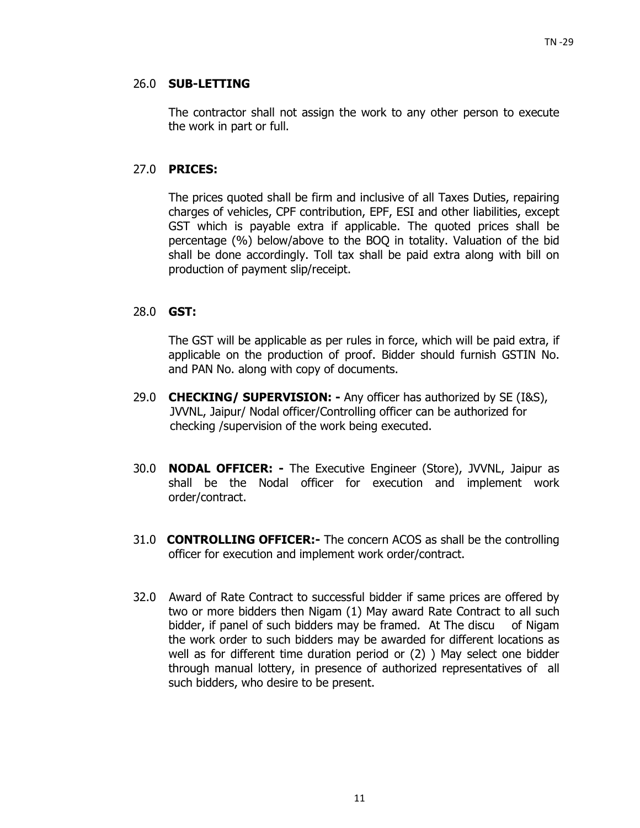## 26.0 **SUB-LETTING**

 The contractor shall not assign the work to any other person to execute the work in part or full.

## 27.0 **PRICES:**

 The prices quoted shall be firm and inclusive of all Taxes Duties, repairing charges of vehicles, CPF contribution, EPF, ESI and other liabilities, except GST which is payable extra if applicable. The quoted prices shall be percentage (%) below/above to the BOQ in totality. Valuation of the bid shall be done accordingly. Toll tax shall be paid extra along with bill on production of payment slip/receipt.

## 28.0 **GST:**

The GST will be applicable as per rules in force, which will be paid extra, if applicable on the production of proof. Bidder should furnish GSTIN No. and PAN No. along with copy of documents.

- 29.0 **CHECKING/ SUPERVISION:** Any officer has authorized by SE (I&S), JVVNL, Jaipur/ Nodal officer/Controlling officer can be authorized for checking /supervision of the work being executed.
- 30.0 **NODAL OFFICER:** The Executive Engineer (Store), JVVNL, Jaipur as shall be the Nodal officer for execution and implement work order/contract.
- 31.0 **CONTROLLING OFFICER:-** The concern ACOS as shall be the controlling officer for execution and implement work order/contract.
- 32.0Award of Rate Contract to successful bidder if same prices are offered by two or more bidders then Nigam (1) May award Rate Contract to all such bidder, if panel of such bidders may be framed. At The discu of Nigam the work order to such bidders may be awarded for different locations as well as for different time duration period or (2) ) May select one bidder through manual lottery, in presence of authorized representatives of all such bidders, who desire to be present.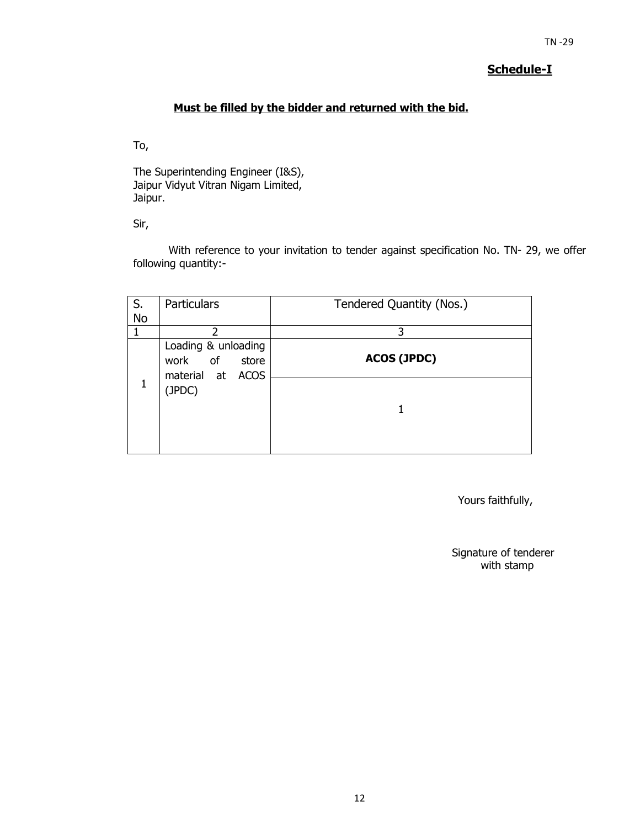## **Schedule-I**

## **Must be filled by the bidder and returned with the bid.**

To,

The Superintending Engineer (I&S), Jaipur Vidyut Vitran Nigam Limited, Jaipur.

Sir,

With reference to your invitation to tender against specification No. TN- 29, we offer following quantity:-

| S.        | <b>Particulars</b>                                             | Tendered Quantity (Nos.) |
|-----------|----------------------------------------------------------------|--------------------------|
| <b>No</b> |                                                                |                          |
|           | $\mathcal{P}$                                                  | 3                        |
|           | Loading & unloading<br>of<br>work<br>store<br>material at ACOS | <b>ACOS (JPDC)</b>       |
|           | (JPDC)                                                         |                          |
|           |                                                                |                          |

Yours faithfully,

Signature of tenderer with stamp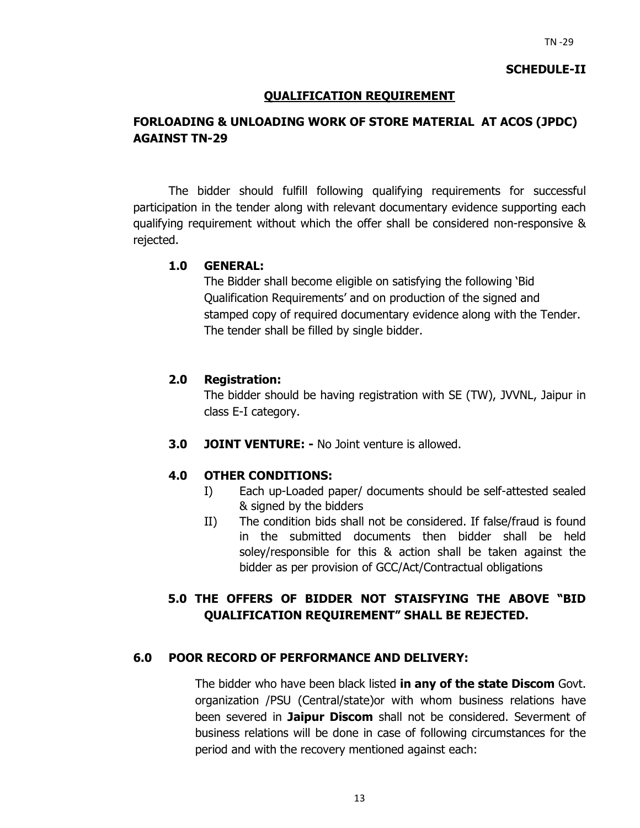#### **SCHEDULE-II**

## **QUALIFICATION REQUIREMENT**

## **FORLOADING & UNLOADING WORK OF STORE MATERIAL AT ACOS (JPDC) AGAINST TN-29**

The bidder should fulfill following qualifying requirements for successful participation in the tender along with relevant documentary evidence supporting each qualifying requirement without which the offer shall be considered non-responsive & rejected.

#### **1.0 GENERAL:**

The Bidder shall become eligible on satisfying the following 'Bid Qualification Requirements' and on production of the signed and stamped copy of required documentary evidence along with the Tender. The tender shall be filled by single bidder.

#### **2.0 Registration:**

The bidder should be having registration with SE (TW), JVVNL, Jaipur in class E-I category.

**3.0 JOINT VENTURE: -** No Joint venture is allowed.

#### **4.0 OTHER CONDITIONS:**

- I) Each up-Loaded paper/ documents should be self-attested sealed & signed by the bidders
- II) The condition bids shall not be considered. If false/fraud is found in the submitted documents then bidder shall be held soley/responsible for this & action shall be taken against the bidder as per provision of GCC/Act/Contractual obligations

## **5.0 THE OFFERS OF BIDDER NOT STAISFYING THE ABOVE "BID QUALIFICATION REQUIREMENT" SHALL BE REJECTED.**

#### **6.0 POOR RECORD OF PERFORMANCE AND DELIVERY:**

The bidder who have been black listed **in any of the state Discom** Govt. organization /PSU (Central/state)or with whom business relations have been severed in **Jaipur Discom** shall not be considered. Severment of business relations will be done in case of following circumstances for the period and with the recovery mentioned against each: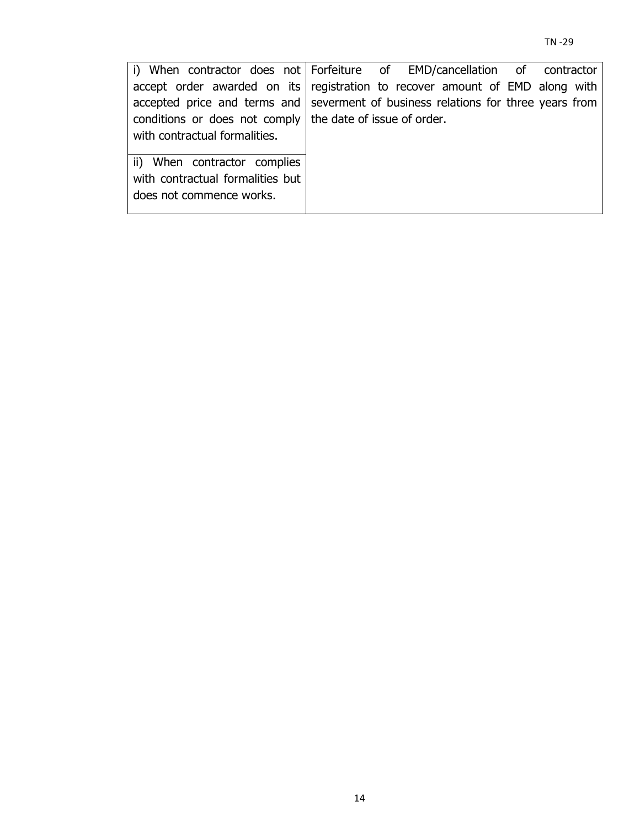| i) When contractor does not Forfeiture of EMD/cancellation of contractor          |  |  |  |  |
|-----------------------------------------------------------------------------------|--|--|--|--|
| accept order awarded on its registration to recover amount of EMD along with      |  |  |  |  |
| accepted price and terms and severment of business relations for three years from |  |  |  |  |
| conditions or does not comply the date of issue of order.                         |  |  |  |  |
| with contractual formalities.                                                     |  |  |  |  |
| ii) When contractor complies                                                      |  |  |  |  |
| with contractual formalities but                                                  |  |  |  |  |
| does not commence works.                                                          |  |  |  |  |
|                                                                                   |  |  |  |  |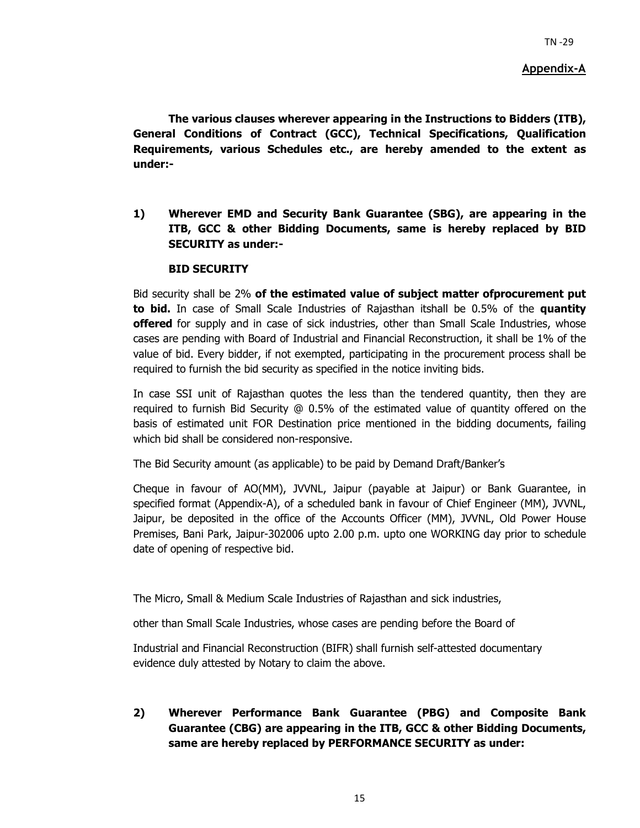#### **Appendix-A**

**The various clauses wherever appearing in the Instructions to Bidders (ITB), General Conditions of Contract (GCC), Technical Specifications, Qualification Requirements, various Schedules etc., are hereby amended to the extent as under:-** 

**1) Wherever EMD and Security Bank Guarantee (SBG), are appearing in the ITB, GCC & other Bidding Documents, same is hereby replaced by BID SECURITY as under:-** 

#### **BID SECURITY**

Bid security shall be 2% **of the estimated value of subject matter ofprocurement put to bid.** In case of Small Scale Industries of Rajasthan itshall be 0.5% of the **quantity offered** for supply and in case of sick industries, other than Small Scale Industries, whose cases are pending with Board of Industrial and Financial Reconstruction, it shall be 1% of the value of bid. Every bidder, if not exempted, participating in the procurement process shall be required to furnish the bid security as specified in the notice inviting bids.

In case SSI unit of Rajasthan quotes the less than the tendered quantity, then they are required to furnish Bid Security @ 0.5% of the estimated value of quantity offered on the basis of estimated unit FOR Destination price mentioned in the bidding documents, failing which bid shall be considered non-responsive.

The Bid Security amount (as applicable) to be paid by Demand Draft/Banker's

Cheque in favour of AO(MM), JVVNL, Jaipur (payable at Jaipur) or Bank Guarantee, in specified format (Appendix-A), of a scheduled bank in favour of Chief Engineer (MM), JVVNL, Jaipur, be deposited in the office of the Accounts Officer (MM), JVVNL, Old Power House Premises, Bani Park, Jaipur-302006 upto 2.00 p.m. upto one WORKING day prior to schedule date of opening of respective bid.

The Micro, Small & Medium Scale Industries of Rajasthan and sick industries,

other than Small Scale Industries, whose cases are pending before the Board of

Industrial and Financial Reconstruction (BIFR) shall furnish self-attested documentary evidence duly attested by Notary to claim the above.

**2) Wherever Performance Bank Guarantee (PBG) and Composite Bank Guarantee (CBG) are appearing in the ITB, GCC & other Bidding Documents, same are hereby replaced by PERFORMANCE SECURITY as under:**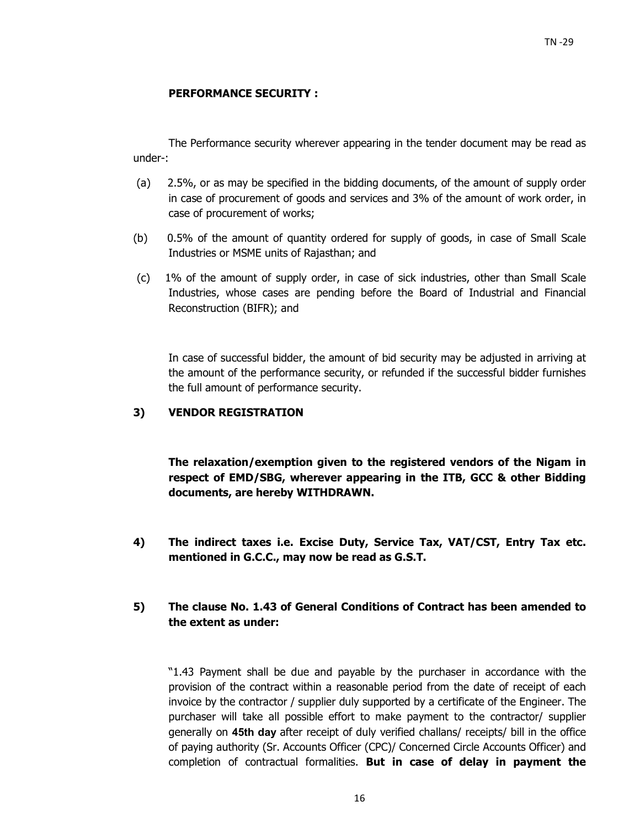#### **PERFORMANCE SECURITY :**

The Performance security wherever appearing in the tender document may be read as under-:

- (a) 2.5%, or as may be specified in the bidding documents, of the amount of supply order in case of procurement of goods and services and 3% of the amount of work order, in case of procurement of works;
- (b) 0.5% of the amount of quantity ordered for supply of goods, in case of Small Scale Industries or MSME units of Rajasthan; and
- (c) 1% of the amount of supply order, in case of sick industries, other than Small Scale Industries, whose cases are pending before the Board of Industrial and Financial Reconstruction (BIFR); and

In case of successful bidder, the amount of bid security may be adjusted in arriving at the amount of the performance security, or refunded if the successful bidder furnishes the full amount of performance security.

## **3) VENDOR REGISTRATION**

**The relaxation/exemption given to the registered vendors of the Nigam in respect of EMD/SBG, wherever appearing in the ITB, GCC & other Bidding documents, are hereby WITHDRAWN.** 

**4) The indirect taxes i.e. Excise Duty, Service Tax, VAT/CST, Entry Tax etc. mentioned in G.C.C., may now be read as G.S.T.** 

## **5) The clause No. 1.43 of General Conditions of Contract has been amended to the extent as under:**

"1.43 Payment shall be due and payable by the purchaser in accordance with the provision of the contract within a reasonable period from the date of receipt of each invoice by the contractor / supplier duly supported by a certificate of the Engineer. The purchaser will take all possible effort to make payment to the contractor/ supplier generally on **45th day** after receipt of duly verified challans/ receipts/ bill in the office of paying authority (Sr. Accounts Officer (CPC)/ Concerned Circle Accounts Officer) and completion of contractual formalities. **But in case of delay in payment the**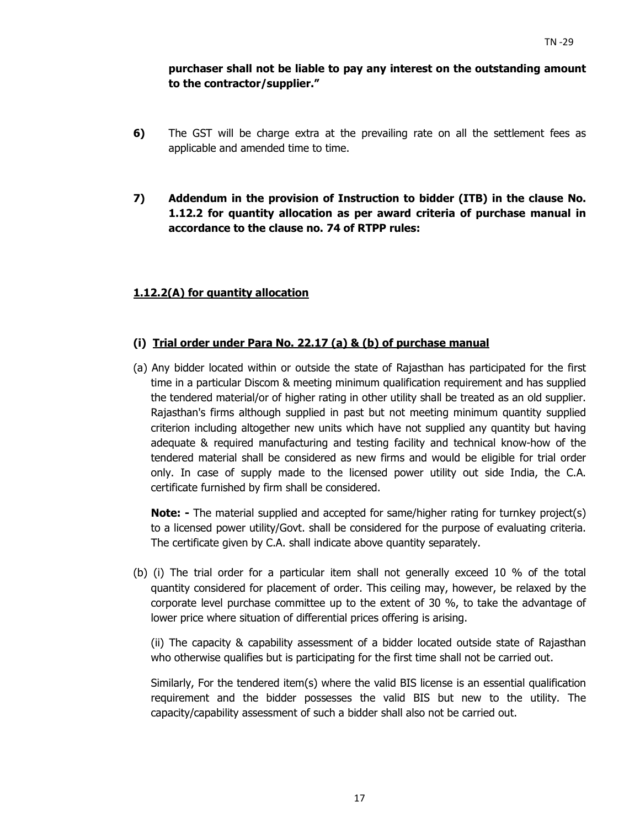## **purchaser shall not be liable to pay any interest on the outstanding amount to the contractor/supplier."**

- **6)** The GST will be charge extra at the prevailing rate on all the settlement fees as applicable and amended time to time.
- **7) Addendum in the provision of Instruction to bidder (ITB) in the clause No. 1.12.2 for quantity allocation as per award criteria of purchase manual in accordance to the clause no. 74 of RTPP rules:**

## **1.12.2(A) for quantity allocation**

## **(i) Trial order under Para No. 22.17 (a) & (b) of purchase manual**

(a) Any bidder located within or outside the state of Rajasthan has participated for the first time in a particular Discom & meeting minimum qualification requirement and has supplied the tendered material/or of higher rating in other utility shall be treated as an old supplier. Rajasthan's firms although supplied in past but not meeting minimum quantity supplied criterion including altogether new units which have not supplied any quantity but having adequate & required manufacturing and testing facility and technical know-how of the tendered material shall be considered as new firms and would be eligible for trial order only. In case of supply made to the licensed power utility out side India, the C.A. certificate furnished by firm shall be considered.

**Note:** - The material supplied and accepted for same/higher rating for turnkey project(s) to a licensed power utility/Govt. shall be considered for the purpose of evaluating criteria. The certificate given by C.A. shall indicate above quantity separately.

(b) (i) The trial order for a particular item shall not generally exceed 10 % of the total quantity considered for placement of order. This ceiling may, however, be relaxed by the corporate level purchase committee up to the extent of 30 %, to take the advantage of lower price where situation of differential prices offering is arising.

(ii) The capacity & capability assessment of a bidder located outside state of Rajasthan who otherwise qualifies but is participating for the first time shall not be carried out.

Similarly, For the tendered item(s) where the valid BIS license is an essential qualification requirement and the bidder possesses the valid BIS but new to the utility. The capacity/capability assessment of such a bidder shall also not be carried out.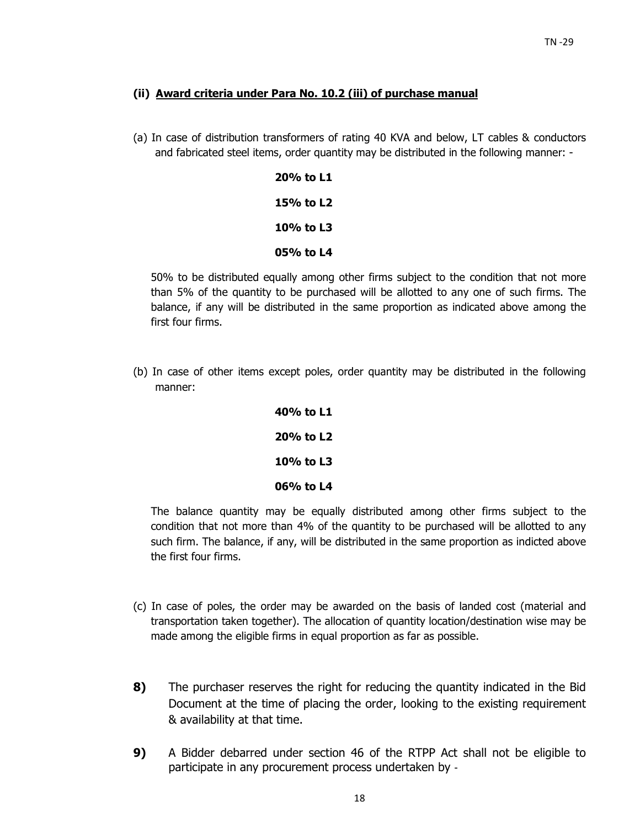### **(ii) Award criteria under Para No. 10.2 (iii) of purchase manual**

(a) In case of distribution transformers of rating 40 KVA and below, LT cables & conductors and fabricated steel items, order quantity may be distributed in the following manner: -

| 20% to L1 |
|-----------|
| 15% to L2 |
| 10% to L3 |
| 05% to L4 |

50% to be distributed equally among other firms subject to the condition that not more than 5% of the quantity to be purchased will be allotted to any one of such firms. The balance, if any will be distributed in the same proportion as indicated above among the first four firms.

(b) In case of other items except poles, order quantity may be distributed in the following manner:

| 40% to L1 |
|-----------|
| 20% to L2 |
| 10% to L3 |
| 06% to L4 |

The balance quantity may be equally distributed among other firms subject to the condition that not more than 4% of the quantity to be purchased will be allotted to any such firm. The balance, if any, will be distributed in the same proportion as indicted above the first four firms.

- (c) In case of poles, the order may be awarded on the basis of landed cost (material and transportation taken together). The allocation of quantity location/destination wise may be made among the eligible firms in equal proportion as far as possible.
- **8)** The purchaser reserves the right for reducing the quantity indicated in the Bid Document at the time of placing the order, looking to the existing requirement & availability at that time.
- **9)** A Bidder debarred under section 46 of the RTPP Act shall not be eligible to participate in any procurement process undertaken by ‐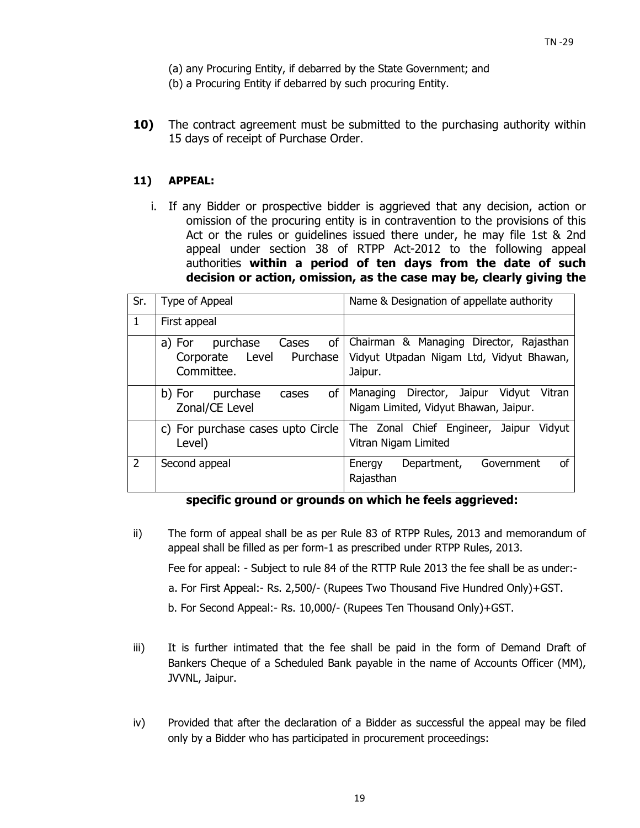- (a) any Procuring Entity, if debarred by the State Government; and
- (b) a Procuring Entity if debarred by such procuring Entity.
- **10)** The contract agreement must be submitted to the purchasing authority within 15 days of receipt of Purchase Order.

#### **11) APPEAL:**

i. If any Bidder or prospective bidder is aggrieved that any decision, action or omission of the procuring entity is in contravention to the provisions of this Act or the rules or guidelines issued there under, he may file 1st & 2nd appeal under section 38 of RTPP Act-2012 to the following appeal authorities **within a period of ten days from the date of such decision or action, omission, as the case may be, clearly giving the** 

| Sr.           | Type of Appeal                                                              | Name & Designation of appellate authority                                                      |
|---------------|-----------------------------------------------------------------------------|------------------------------------------------------------------------------------------------|
| 1             | First appeal                                                                |                                                                                                |
|               | 0f<br>purchase<br>Cases<br>a) For<br>Corporate Level Purchase<br>Committee. | Chairman & Managing Director, Rajasthan<br>Vidyut Utpadan Nigam Ltd, Vidyut Bhawan,<br>Jaipur. |
|               | <b>of</b><br>purchase<br>b) For<br>cases<br>Zonal/CE Level                  | Director, Jaipur<br>Vidyut<br>Vitran<br>Managing<br>Nigam Limited, Vidyut Bhawan, Jaipur.      |
|               | c) For purchase cases upto Circle<br>Level)                                 | The Zonal Chief Engineer, Jaipur<br>Vidyut<br>Vitran Nigam Limited                             |
| $\mathcal{P}$ | Second appeal                                                               | <b>of</b><br>Government<br>Department,<br>Energy<br>Rajasthan                                  |

#### **specific ground or grounds on which he feels aggrieved:**

- ii) The form of appeal shall be as per Rule 83 of RTPP Rules, 2013 and memorandum of appeal shall be filled as per form-1 as prescribed under RTPP Rules, 2013. Fee for appeal: - Subject to rule 84 of the RTTP Rule 2013 the fee shall be as under: a. For First Appeal:- Rs. 2,500/- (Rupees Two Thousand Five Hundred Only)+GST.
	- b. For Second Appeal:- Rs. 10,000/- (Rupees Ten Thousand Only)+GST.
- iii) It is further intimated that the fee shall be paid in the form of Demand Draft of Bankers Cheque of a Scheduled Bank payable in the name of Accounts Officer (MM), JVVNL, Jaipur.
- iv) Provided that after the declaration of a Bidder as successful the appeal may be filed only by a Bidder who has participated in procurement proceedings: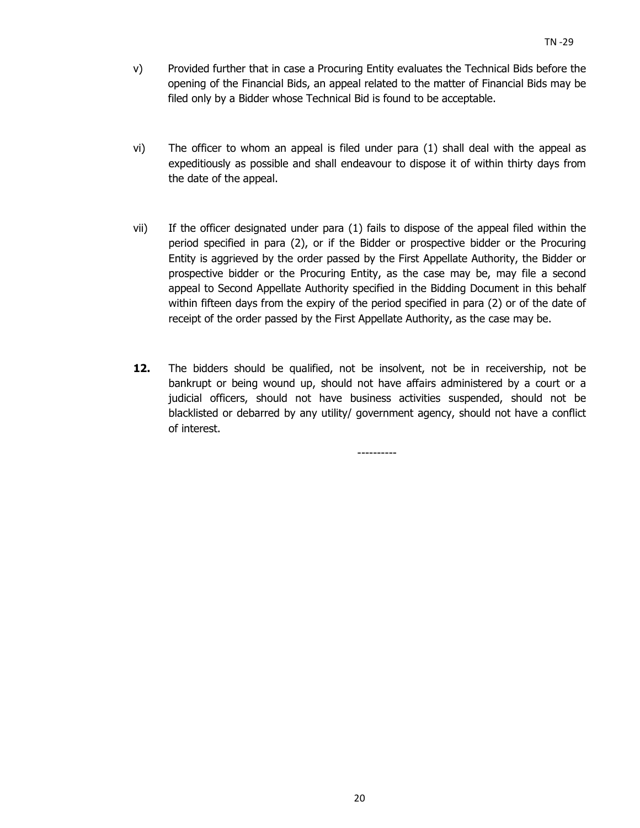- v) Provided further that in case a Procuring Entity evaluates the Technical Bids before the opening of the Financial Bids, an appeal related to the matter of Financial Bids may be filed only by a Bidder whose Technical Bid is found to be acceptable.
- vi) The officer to whom an appeal is filed under para (1) shall deal with the appeal as expeditiously as possible and shall endeavour to dispose it of within thirty days from the date of the appeal.
- vii) If the officer designated under para (1) fails to dispose of the appeal filed within the period specified in para (2), or if the Bidder or prospective bidder or the Procuring Entity is aggrieved by the order passed by the First Appellate Authority, the Bidder or prospective bidder or the Procuring Entity, as the case may be, may file a second appeal to Second Appellate Authority specified in the Bidding Document in this behalf within fifteen days from the expiry of the period specified in para (2) or of the date of receipt of the order passed by the First Appellate Authority, as the case may be.
- **12.** The bidders should be qualified, not be insolvent, not be in receivership, not be bankrupt or being wound up, should not have affairs administered by a court or a judicial officers, should not have business activities suspended, should not be blacklisted or debarred by any utility/ government agency, should not have a conflict of interest.

----------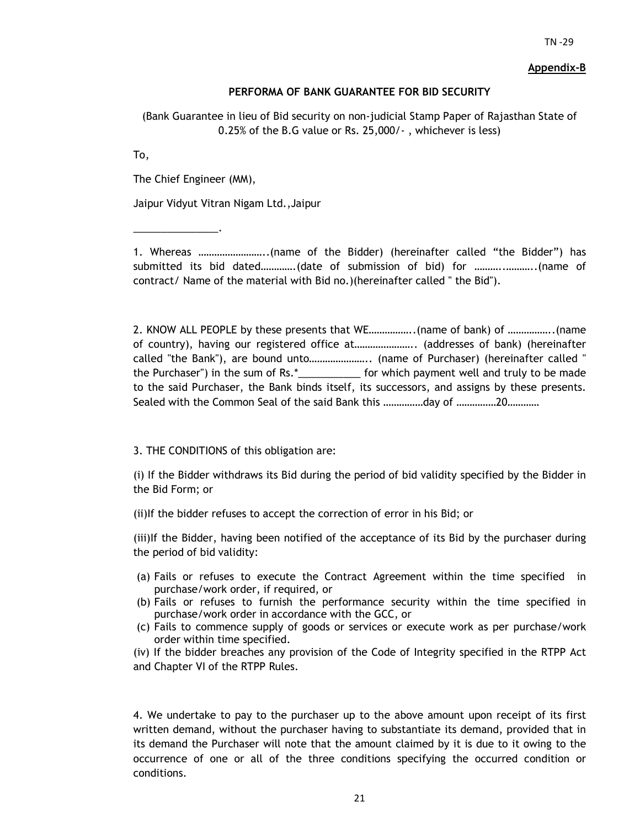#### **Appendix-B**

#### **PERFORMA OF BANK GUARANTEE FOR BID SECURITY**

(Bank Guarantee in lieu of Bid security on non-judicial Stamp Paper of Rajasthan State of 0.25% of the B.G value or Rs. 25,000/- , whichever is less)

To,

The Chief Engineer (MM),

\_\_\_\_\_\_\_\_\_\_\_\_\_\_\_.

Jaipur Vidyut Vitran Nigam Ltd.,Jaipur

1. Whereas ……………………..(name of the Bidder) (hereinafter called "the Bidder") has submitted its bid dated………….(date of submission of bid) for ………..………..(name of contract/ Name of the material with Bid no.)(hereinafter called " the Bid").

2. KNOW ALL PEOPLE by these presents that WE……………..(name of bank) of ……………..(name of country), having our registered office at………………….. (addresses of bank) (hereinafter called "the Bank"), are bound unto………………….. (name of Purchaser) (hereinafter called " the Purchaser") in the sum of Rs.\*\_\_\_\_\_\_\_\_\_\_\_ for which payment well and truly to be made to the said Purchaser, the Bank binds itself, its successors, and assigns by these presents. Sealed with the Common Seal of the said Bank this ……………day of ……………20…………

3. THE CONDITIONS of this obligation are:

(i) If the Bidder withdraws its Bid during the period of bid validity specified by the Bidder in the Bid Form; or

(ii)If the bidder refuses to accept the correction of error in his Bid; or

(iii)If the Bidder, having been notified of the acceptance of its Bid by the purchaser during the period of bid validity:

- (a) Fails or refuses to execute the Contract Agreement within the time specified in purchase/work order, if required, or
- (b) Fails or refuses to furnish the performance security within the time specified in purchase/work order in accordance with the GCC, or
- (c) Fails to commence supply of goods or services or execute work as per purchase/work order within time specified.

(iv) If the bidder breaches any provision of the Code of Integrity specified in the RTPP Act and Chapter VI of the RTPP Rules.

4. We undertake to pay to the purchaser up to the above amount upon receipt of its first written demand, without the purchaser having to substantiate its demand, provided that in its demand the Purchaser will note that the amount claimed by it is due to it owing to the occurrence of one or all of the three conditions specifying the occurred condition or conditions.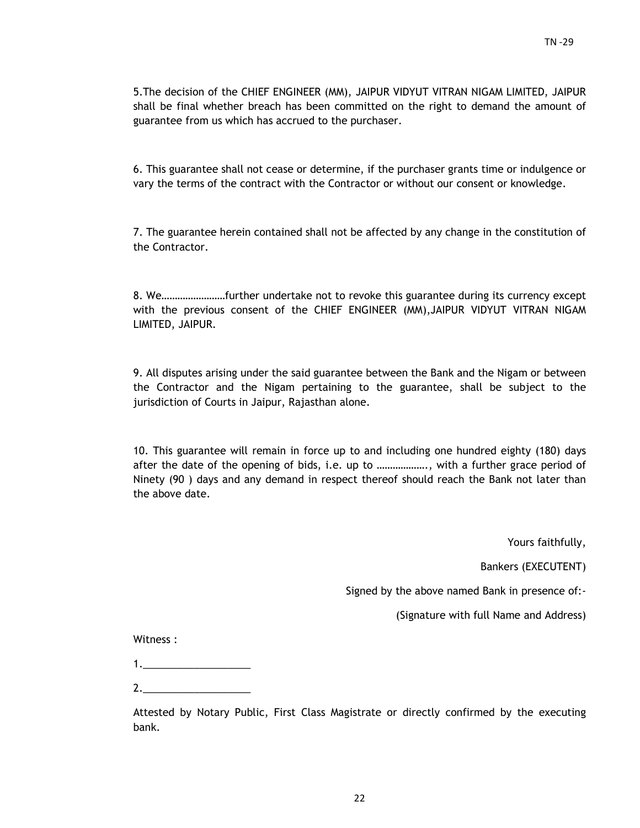5.The decision of the CHIEF ENGINEER (MM), JAIPUR VIDYUT VITRAN NIGAM LIMITED, JAIPUR shall be final whether breach has been committed on the right to demand the amount of guarantee from us which has accrued to the purchaser.

6. This guarantee shall not cease or determine, if the purchaser grants time or indulgence or vary the terms of the contract with the Contractor or without our consent or knowledge.

7. The guarantee herein contained shall not be affected by any change in the constitution of the Contractor.

8. We……………………further undertake not to revoke this guarantee during its currency except with the previous consent of the CHIEF ENGINEER (MM),JAIPUR VIDYUT VITRAN NIGAM LIMITED, JAIPUR.

9. All disputes arising under the said guarantee between the Bank and the Nigam or between the Contractor and the Nigam pertaining to the guarantee, shall be subject to the jurisdiction of Courts in Jaipur, Rajasthan alone.

10. This guarantee will remain in force up to and including one hundred eighty (180) days after the date of the opening of bids, i.e. up to ………………., with a further grace period of Ninety (90 ) days and any demand in respect thereof should reach the Bank not later than the above date.

Yours faithfully,

Bankers (EXECUTENT)

Signed by the above named Bank in presence of:-

(Signature with full Name and Address)

Witness :

2.\_\_\_\_\_\_\_\_\_\_\_\_\_\_\_\_\_\_\_

Attested by Notary Public, First Class Magistrate or directly confirmed by the executing bank.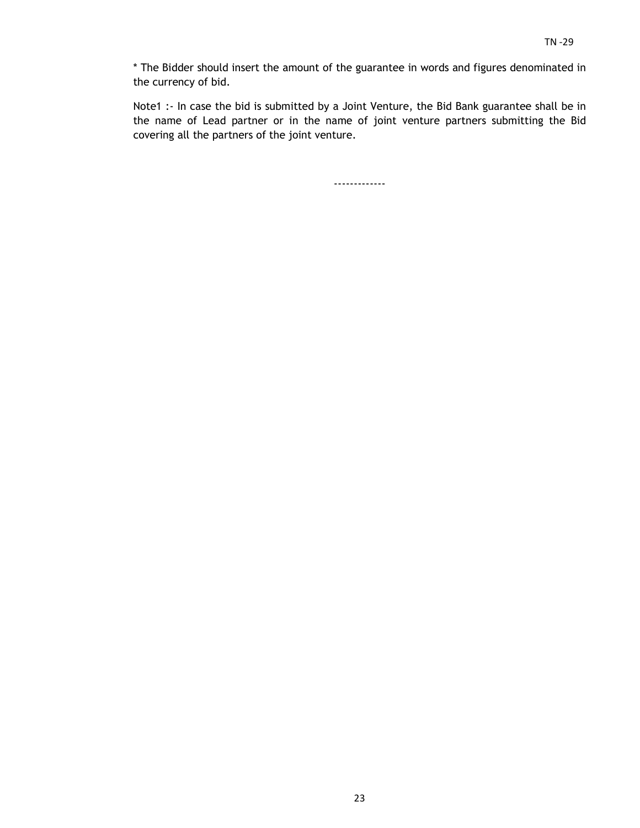\* The Bidder should insert the amount of the guarantee in words and figures denominated in the currency of bid.

Note1 :- In case the bid is submitted by a Joint Venture, the Bid Bank guarantee shall be in the name of Lead partner or in the name of joint venture partners submitting the Bid covering all the partners of the joint venture.

-------------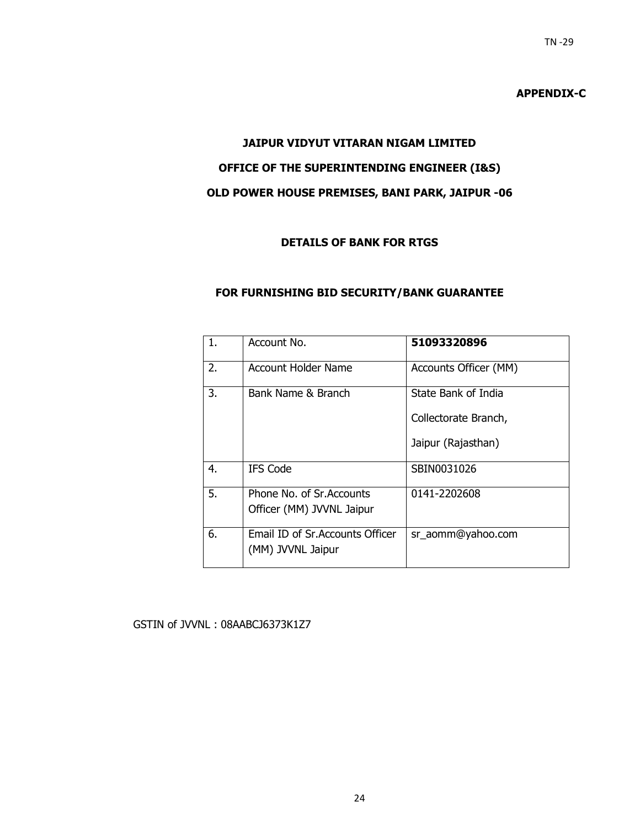## **APPENDIX-C**

# **JAIPUR VIDYUT VITARAN NIGAM LIMITED OFFICE OF THE SUPERINTENDING ENGINEER (I&S) OLD POWER HOUSE PREMISES, BANI PARK, JAIPUR -06**

 $TN - 29$ 

## **DETAILS OF BANK FOR RTGS**

#### **FOR FURNISHING BID SECURITY/BANK GUARANTEE**

| 1. | Account No.                                            | 51093320896           |
|----|--------------------------------------------------------|-----------------------|
| 2. | Account Holder Name                                    | Accounts Officer (MM) |
| 3. | Bank Name & Branch                                     | State Bank of India   |
|    |                                                        | Collectorate Branch,  |
|    |                                                        | Jaipur (Rajasthan)    |
| 4. | <b>IFS Code</b>                                        | SBIN0031026           |
| 5. | Phone No. of Sr. Accounts<br>Officer (MM) JVVNL Jaipur | 0141-2202608          |
|    |                                                        |                       |
| 6. | Email ID of Sr. Accounts Officer<br>(MM) JVVNL Jaipur  | sr_aomm@yahoo.com     |

#### GSTIN of JVVNL : 08AABCJ6373K1Z7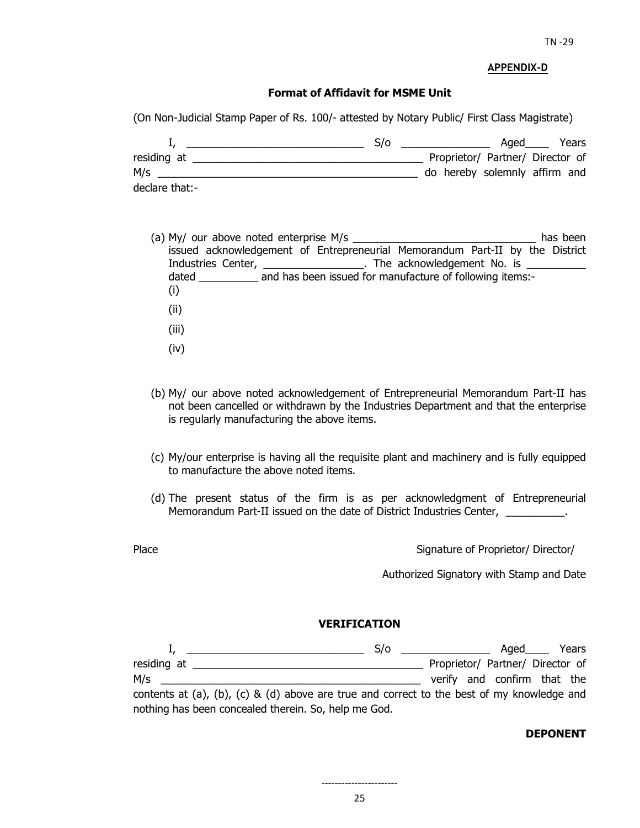#### **APPENDIX-D**

#### **Format of Affidavit for MSME Unit**

(On Non-Judicial Stamp Paper of Rs. 100/- attested by Notary Public/ First Class Magistrate)

|                | S/O |                                  | Aged | Years |
|----------------|-----|----------------------------------|------|-------|
| residing at    |     | Proprietor/ Partner/ Director of |      |       |
| M/s            |     | do hereby solemnly affirm and    |      |       |
| declare that:- |     |                                  |      |       |

- (a) My/ our above noted enterprise M/s  $\blacksquare$ issued acknowledgement of Entrepreneurial Memorandum Part-II by the District Industries Center, \_\_\_\_\_\_\_\_\_\_\_\_\_\_\_\_\_\_\_. The acknowledgement No. is \_ dated and has been issued for manufacture of following items:-(i) (ii) (iii) (iv)
- (b) My/ our above noted acknowledgement of Entrepreneurial Memorandum Part-II has not been cancelled or withdrawn by the Industries Department and that the enterprise is regularly manufacturing the above items.
- (c) My/our enterprise is having all the requisite plant and machinery and is fully equipped to manufacture the above noted items.
- (d) The present status of the firm is as per acknowledgment of Entrepreneurial Memorandum Part-II issued on the date of District Industries Center, \_\_\_\_\_\_\_\_\_\_.
- 

Place **Proprietor/** Director/ Director/ Director/ Director/ Director/ Director/ Director/ Director/ Director/ Director/ Director/ Director/ Director/ Director/ Director/ Director/ Director/ Director/ Director/ Director/ Di

Authorized Signatory with Stamp and Date

#### **VERIFICATION**

|                                                                                            | S/O | <u> 1980 - John Stein, amerikansk politiker</u> | $A$ qed $\_\_$                   | Years |
|--------------------------------------------------------------------------------------------|-----|-------------------------------------------------|----------------------------------|-------|
| residing at                                                                                |     |                                                 | Proprietor/ Partner/ Director of |       |
| M/s                                                                                        |     |                                                 | verify and confirm that the      |       |
| contents at (a), (b), (c) & (d) above are true and correct to the best of my knowledge and |     |                                                 |                                  |       |
| nothing has been concealed therein. So, help me God.                                       |     |                                                 |                                  |       |

#### **DEPONENT**

25 -----------------------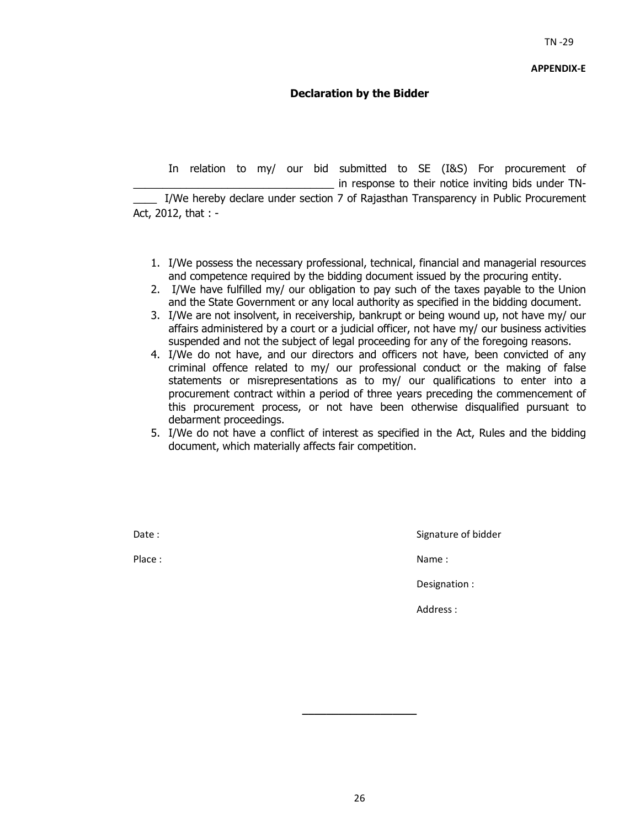### **Declaration by the Bidder**

 In relation to my/ our bid submitted to SE (I&S) For procurement of in response to their notice inviting bids under TN-I/We hereby declare under section 7 of Rajasthan Transparency in Public Procurement Act, 2012, that : -

- 1. I/We possess the necessary professional, technical, financial and managerial resources and competence required by the bidding document issued by the procuring entity.
- 2. I/We have fulfilled my/ our obligation to pay such of the taxes payable to the Union and the State Government or any local authority as specified in the bidding document.
- 3. I/We are not insolvent, in receivership, bankrupt or being wound up, not have my/ our affairs administered by a court or a judicial officer, not have my/ our business activities suspended and not the subject of legal proceeding for any of the foregoing reasons.
- 4. I/We do not have, and our directors and officers not have, been convicted of any criminal offence related to my/ our professional conduct or the making of false statements or misrepresentations as to my/ our qualifications to enter into a procurement contract within a period of three years preceding the commencement of this procurement process, or not have been otherwise disqualified pursuant to debarment proceedings.
- 5. I/We do not have a conflict of interest as specified in the Act, Rules and the bidding document, which materially affects fair competition.

Date : Signature of bidder

Place : Name : Name : Name : Name : Name : Name : Name : Name : Name : Name : Name : Name : Name : Name :  $\mathbb{R}^2$ 

Designation :

Address :

**\_\_\_\_\_\_\_\_\_\_\_\_\_\_\_\_\_\_\_**